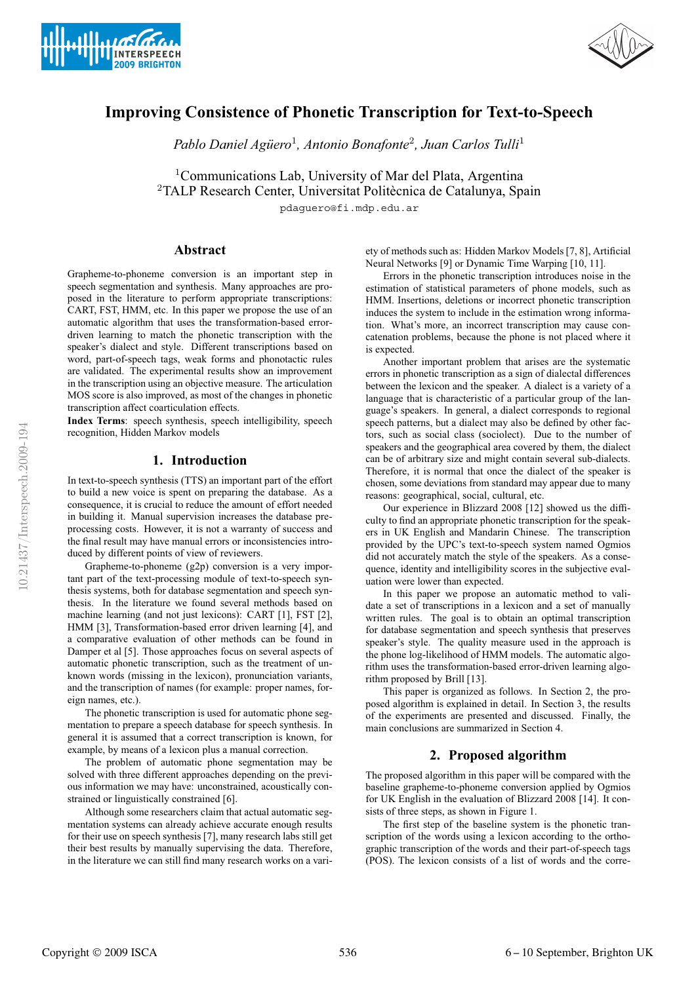



# **Improving Consistence of Phonetic Transcription for Text-to-Speech**

*Pablo Daniel Aguero ¨* <sup>1</sup>*, Antonio Bonafonte*<sup>2</sup>*, Juan Carlos Tulli*<sup>1</sup>

<sup>1</sup>Communications Lab, University of Mar del Plata, Argentina <sup>2</sup>TALP Research Center, Universitat Politècnica de Catalunya, Spain pdaguero@fi.mdp.edu.ar

## **Abstract**

Grapheme-to-phoneme conversion is an important step in speech segmentation and synthesis. Many approaches are proposed in the literature to perform appropriate transcriptions: CART, FST, HMM, etc. In this paper we propose the use of an automatic algorithm that uses the transformation-based errordriven learning to match the phonetic transcription with the speaker's dialect and style. Different transcriptions based on word, part-of-speech tags, weak forms and phonotactic rules are validated. The experimental results show an improvement in the transcription using an objective measure. The articulation MOS score is also improved, as most of the changes in phonetic transcription affect coarticulation effects.

**Index Terms**: speech synthesis, speech intelligibility, speech recognition, Hidden Markov models

### **1. Introduction**

In text-to-speech synthesis (TTS) an important part of the effort to build a new voice is spent on preparing the database. As a consequence, it is crucial to reduce the amount of effort needed in building it. Manual supervision increases the database preprocessing costs. However, it is not a warranty of success and the final result may have manual errors or inconsistencies introduced by different points of view of reviewers.

Grapheme-to-phoneme (g2p) conversion is a very important part of the text-processing module of text-to-speech synthesis systems, both for database segmentation and speech synthesis. In the literature we found several methods based on machine learning (and not just lexicons): CART [1], FST [2], HMM [3], Transformation-based error driven learning [4], and a comparative evaluation of other methods can be found in Damper et al [5]. Those approaches focus on several aspects of automatic phonetic transcription, such as the treatment of unknown words (missing in the lexicon), pronunciation variants, and the transcription of names (for example: proper names, foreign names, etc.).

The phonetic transcription is used for automatic phone segmentation to prepare a speech database for speech synthesis. In general it is assumed that a correct transcription is known, for example, by means of a lexicon plus a manual correction.

The problem of automatic phone segmentation may be solved with three different approaches depending on the previous information we may have: unconstrained, acoustically constrained or linguistically constrained [6].

Although some researchers claim that actual automatic segmentation systems can already achieve accurate enough results for their use on speech synthesis [7], many research labs still get their best results by manually supervising the data. Therefore, in the literature we can still find many research works on a variety of methods such as: Hidden Markov Models [7, 8], Artificial Neural Networks [9] or Dynamic Time Warping [10, 11].

Errors in the phonetic transcription introduces noise in the estimation of statistical parameters of phone models, such as HMM. Insertions, deletions or incorrect phonetic transcription induces the system to include in the estimation wrong information. What's more, an incorrect transcription may cause concatenation problems, because the phone is not placed where it is expected.

Another important problem that arises are the systematic errors in phonetic transcription as a sign of dialectal differences between the lexicon and the speaker. A dialect is a variety of a language that is characteristic of a particular group of the language's speakers. In general, a dialect corresponds to regional speech patterns, but a dialect may also be defined by other factors, such as social class (sociolect). Due to the number of speakers and the geographical area covered by them, the dialect can be of arbitrary size and might contain several sub-dialects. Therefore, it is normal that once the dialect of the speaker is chosen, some deviations from standard may appear due to many reasons: geographical, social, cultural, etc.

Our experience in Blizzard 2008 [12] showed us the difficulty to find an appropriate phonetic transcription for the speakers in UK English and Mandarin Chinese. The transcription provided by the UPC's text-to-speech system named Ogmios did not accurately match the style of the speakers. As a consequence, identity and intelligibility scores in the subjective evaluation were lower than expected.

In this paper we propose an automatic method to validate a set of transcriptions in a lexicon and a set of manually written rules. The goal is to obtain an optimal transcription for database segmentation and speech synthesis that preserves speaker's style. The quality measure used in the approach is the phone log-likelihood of HMM models. The automatic algorithm uses the transformation-based error-driven learning algorithm proposed by Brill [13].

This paper is organized as follows. In Section 2, the proposed algorithm is explained in detail. In Section 3, the results of the experiments are presented and discussed. Finally, the main conclusions are summarized in Section 4.

## **2. Proposed algorithm**

The proposed algorithm in this paper will be compared with the baseline grapheme-to-phoneme conversion applied by Ogmios for UK English in the evaluation of Blizzard 2008 [14]. It consists of three steps, as shown in Figure 1.

The first step of the baseline system is the phonetic transcription of the words using a lexicon according to the orthographic transcription of the words and their part-of-speech tags (POS). The lexicon consists of a list of words and the corre-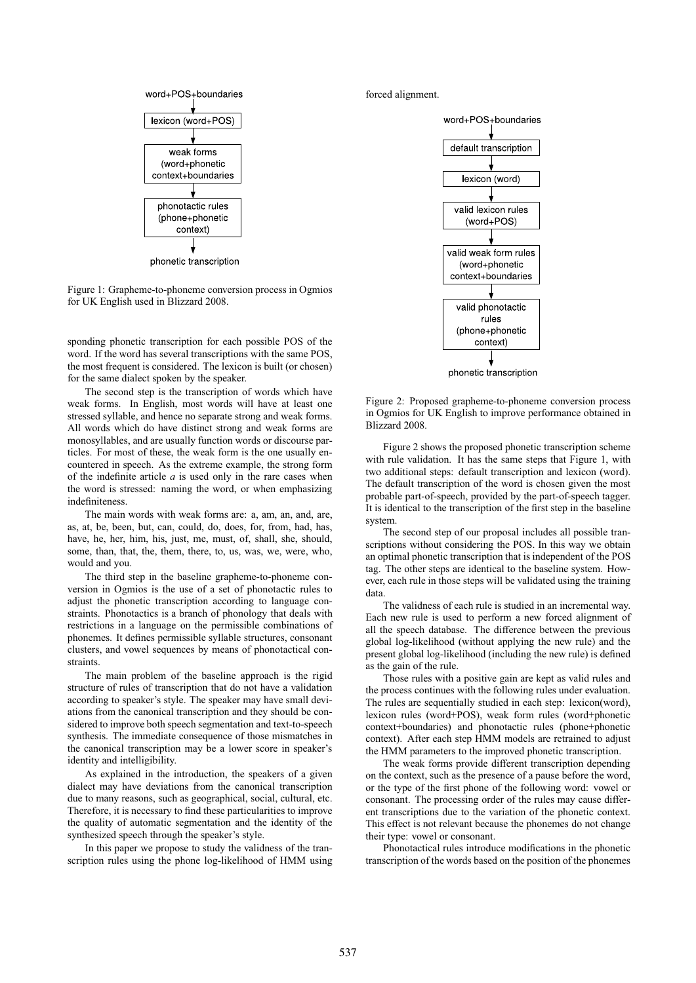

Figure 1: Grapheme-to-phoneme conversion process in Ogmios for UK English used in Blizzard 2008.

sponding phonetic transcription for each possible POS of the word. If the word has several transcriptions with the same POS, the most frequent is considered. The lexicon is built (or chosen) for the same dialect spoken by the speaker.

The second step is the transcription of words which have weak forms. In English, most words will have at least one stressed syllable, and hence no separate strong and weak forms. All words which do have distinct strong and weak forms are monosyllables, and are usually function words or discourse particles. For most of these, the weak form is the one usually encountered in speech. As the extreme example, the strong form of the indefinite article  $a$  is used only in the rare cases when the word is stressed: naming the word, or when emphasizing indefiniteness.

The main words with weak forms are: a, am, an, and, are, as, at, be, been, but, can, could, do, does, for, from, had, has, have, he, her, him, his, just, me, must, of, shall, she, should, some, than, that, the, them, there, to, us, was, we, were, who, would and you.

The third step in the baseline grapheme-to-phoneme conversion in Ogmios is the use of a set of phonotactic rules to adjust the phonetic transcription according to language constraints. Phonotactics is a branch of phonology that deals with restrictions in a language on the permissible combinations of phonemes. It defines permissible syllable structures, consonant clusters, and vowel sequences by means of phonotactical constraints.

The main problem of the baseline approach is the rigid structure of rules of transcription that do not have a validation according to speaker's style. The speaker may have small deviations from the canonical transcription and they should be considered to improve both speech segmentation and text-to-speech synthesis. The immediate consequence of those mismatches in the canonical transcription may be a lower score in speaker's identity and intelligibility.

As explained in the introduction, the speakers of a given dialect may have deviations from the canonical transcription due to many reasons, such as geographical, social, cultural, etc. Therefore, it is necessary to find these particularities to improve the quality of automatic segmentation and the identity of the synthesized speech through the speaker's style.

In this paper we propose to study the validness of the transcription rules using the phone log-likelihood of HMM using forced alignment.



phonetic transcription

Figure 2: Proposed grapheme-to-phoneme conversion process in Ogmios for UK English to improve performance obtained in Blizzard 2008.

Figure 2 shows the proposed phonetic transcription scheme with rule validation. It has the same steps that Figure 1, with two additional steps: default transcription and lexicon (word). The default transcription of the word is chosen given the most probable part-of-speech, provided by the part-of-speech tagger. It is identical to the transcription of the first step in the baseline system.

The second step of our proposal includes all possible transcriptions without considering the POS. In this way we obtain an optimal phonetic transcription that is independent of the POS tag. The other steps are identical to the baseline system. However, each rule in those steps will be validated using the training data.

The validness of each rule is studied in an incremental way. Each new rule is used to perform a new forced alignment of all the speech database. The difference between the previous global log-likelihood (without applying the new rule) and the present global log-likelihood (including the new rule) is defined as the gain of the rule.

Those rules with a positive gain are kept as valid rules and the process continues with the following rules under evaluation. The rules are sequentially studied in each step: lexicon(word), lexicon rules (word+POS), weak form rules (word+phonetic context+boundaries) and phonotactic rules (phone+phonetic context). After each step HMM models are retrained to adjust the HMM parameters to the improved phonetic transcription.

The weak forms provide different transcription depending on the context, such as the presence of a pause before the word, or the type of the first phone of the following word: vowel or consonant. The processing order of the rules may cause different transcriptions due to the variation of the phonetic context. This effect is not relevant because the phonemes do not change their type: vowel or consonant.

Phonotactical rules introduce modifications in the phonetic transcription of the words based on the position of the phonemes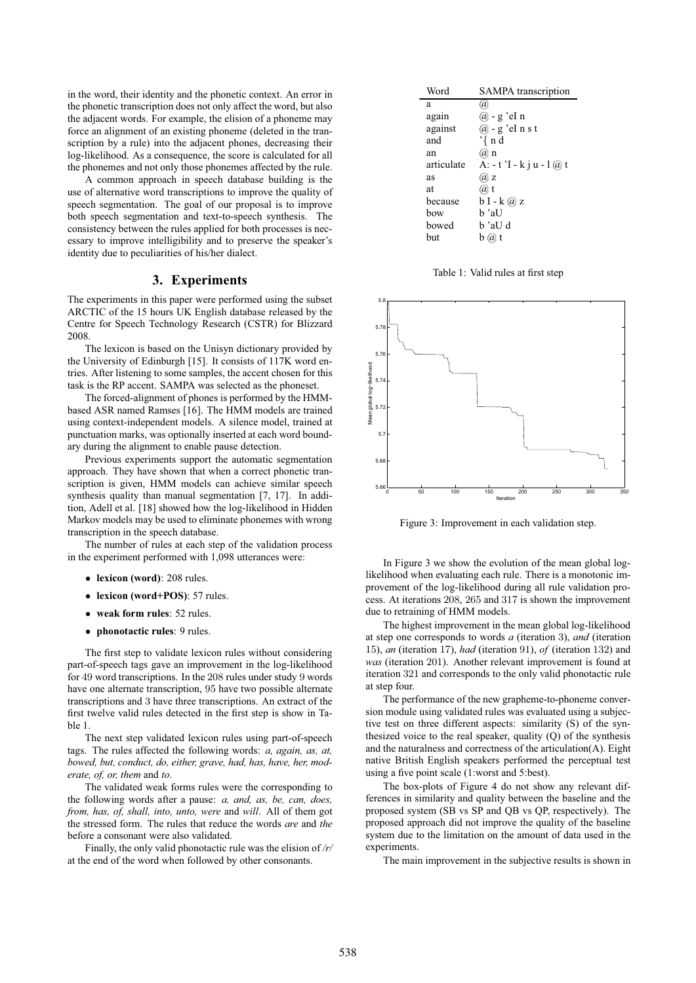in the word, their identity and the phonetic context. An error in the phonetic transcription does not only affect the word, but also the adjacent words. For example, the elision of a phoneme may force an alignment of an existing phoneme (deleted in the transcription by a rule) into the adjacent phones, decreasing their log-likelihood. As a consequence, the score is calculated for all the phonemes and not only those phonemes affected by the rule.

A common approach in speech database building is the use of alternative word transcriptions to improve the quality of speech segmentation. The goal of our proposal is to improve both speech segmentation and text-to-speech synthesis. The consistency between the rules applied for both processes is necessary to improve intelligibility and to preserve the speaker's identity due to peculiarities of his/her dialect.

#### **3. Experiments**

The experiments in this paper were performed using the subset ARCTIC of the 15 hours UK English database released by the Centre for Speech Technology Research (CSTR) for Blizzard 2008.

The lexicon is based on the Unisyn dictionary provided by the University of Edinburgh [15]. It consists of 117K word entries. After listening to some samples, the accent chosen for this task is the RP accent. SAMPA was selected as the phoneset.

The forced-alignment of phones is performed by the HMMbased ASR named Ramses [16]. The HMM models are trained using context-independent models. A silence model, trained at punctuation marks, was optionally inserted at each word boundary during the alignment to enable pause detection.

Previous experiments support the automatic segmentation approach. They have shown that when a correct phonetic transcription is given, HMM models can achieve similar speech synthesis quality than manual segmentation [7, 17]. In addition, Adell et al. [18] showed how the log-likelihood in Hidden Markov models may be used to eliminate phonemes with wrong transcription in the speech database.

The number of rules at each step of the validation process in the experiment performed with 1,098 utterances were:

- **lexicon (word)**: 208 rules.
- **lexicon (word+POS)**: 57 rules.
- **weak form rules**: 52 rules.
- **phonotactic rules**: 9 rules.

The first step to validate lexicon rules without considering part-of-speech tags gave an improvement in the log-likelihood for 49 word transcriptions. In the 208 rules under study 9 words have one alternate transcription, 95 have two possible alternate transcriptions and 3 have three transcriptions. An extract of the first twelve valid rules detected in the first step is show in Table 1.

The next step validated lexicon rules using part-of-speech tags. The rules affected the following words: *a, again, as, at, bowed, but, conduct, do, either, grave, had, has, have, her, moderate, of, or, them* and *to*.

The validated weak forms rules were the corresponding to the following words after a pause: *a, and, as, be, can, does, from, has, of, shall, into, unto, were* and *will*. All of them got the stressed form. The rules that reduce the words *are* and *the* before a consonant were also validated.

Finally, the only valid phonotactic rule was the elision of */r/* at the end of the word when followed by other consonants.

| Word       | <b>SAMPA</b> transcription   |
|------------|------------------------------|
| a          | @                            |
| again      | @ - g 'eI n                  |
| against    | @ - g 'eI n s t              |
| and        | '{ n d                       |
| an         | $(a)$ n                      |
| articulate | A: $-t$ 'I - k j u - $(a)$ t |
| as         | $(a)$ z                      |
| at         | (a) t                        |
| because    | $bI - k@z$                   |
| bow        | b 'aU                        |
| bowed      | b 'aU d                      |
| but        | $b\mathcal{a}$ t             |

Table 1: Valid rules at first step



Figure 3: Improvement in each validation step.

In Figure 3 we show the evolution of the mean global loglikelihood when evaluating each rule. There is a monotonic improvement of the log-likelihood during all rule validation process. At iterations 208, 265 and 317 is shown the improvement due to retraining of HMM models.

The highest improvement in the mean global log-likelihood at step one corresponds to words *a* (iteration 3), *and* (iteration 15), *an* (iteration 17), *had* (iteration 91), *of* (iteration 132) and *was* (iteration 201). Another relevant improvement is found at iteration 321 and corresponds to the only valid phonotactic rule at step four.

The performance of the new grapheme-to-phoneme conversion module using validated rules was evaluated using a subjective test on three different aspects: similarity (S) of the synthesized voice to the real speaker, quality (Q) of the synthesis and the naturalness and correctness of the articulation(A). Eight native British English speakers performed the perceptual test using a five point scale (1:worst and 5:best).

The box-plots of Figure 4 do not show any relevant differences in similarity and quality between the baseline and the proposed system (SB vs SP and QB vs QP, respectively). The proposed approach did not improve the quality of the baseline system due to the limitation on the amount of data used in the experiments.

The main improvement in the subjective results is shown in